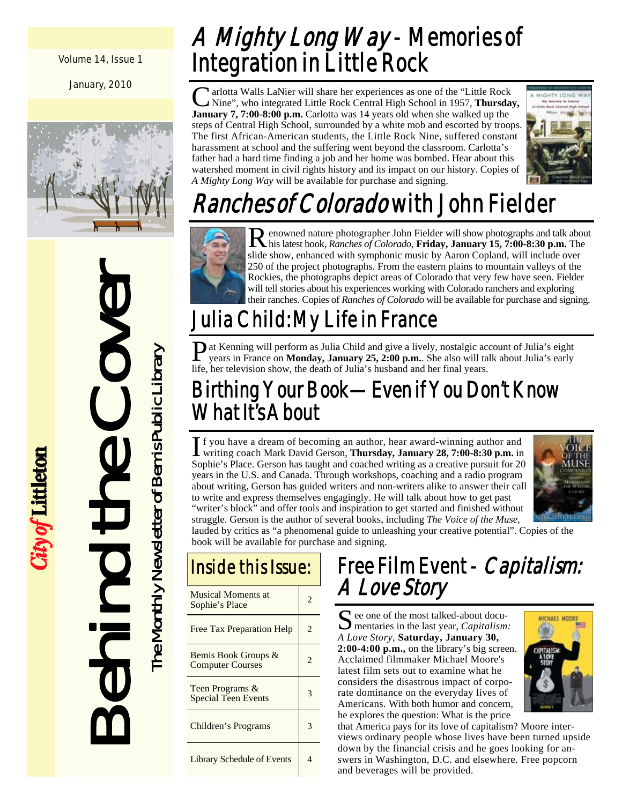Volume 14, Issue 1

January, 2010



Behind the Cover The Monthly Newsletter of Bemis Public Library The Monthly Newsletter of Bemis Public Library

City of Littleton

## A Mighty Long Way - Memories of Integration in Little Rock

If arlotta Walls LaNier will share her experiences as one of the "Little Rock" Nine", who integrated Little Rock Central High School in 1957, **Thursday, January 7, 7:00-8:00 p.m.** Carlotta was 14 years old when she walked up the steps of Central High School, surrounded by a white mob and escorted by troops. The first African-American students, the Little Rock Nine, suffered constant harassment at school and the suffering went beyond the classroom. Carlotta's father had a hard time finding a job and her home was bombed. Hear about this watershed moment in civil rights history and its impact on our history. Copies of *A Mighty Long Way* will be available for purchase and signing.



# Ranches of Colorado with John Fielder



Renowned nature photographer John Fielder will show photographs and talk about his latest book, *Ranches of Colorado*, **Friday, January 15, 7:00-8:30 p.m.** The slide show, enhanced with symphonic music by Aaron Copland, will include over 250 of the project photographs. From the eastern plains to mountain valleys of the Rockies, the photographs depict areas of Colorado that very few have seen. Fielder will tell stories about his experiences working with Colorado ranchers and exploring their ranches. Copies of *Ranches of Colorado* will be available for purchase and signing.

## Julia Child: My Life in France

**P** at Kenning will perform as Julia Child and give a lively, nostalgic account of Julia's eight years in France on **Monday, January 25, 2:00 p.m.**. She also will talk about Julia's early life, her television show, the death of Julia's husband and her final years.

#### Birthing Your Book—Even if You Don't Know What It's About

If you have a dream of becoming an author, hear award-winning author and writing coach Mark David Gerson, **Thursday, January 28, 7:00-8:30 p.m.** in Sophie's Place. Gerson has taught and coached writing as a creative pursuit for 20 years in the U.S. and Canada. Through workshops, coaching and a radio program about writing, Gerson has guided writers and non-writers alike to answer their call to write and express themselves engagingly. He will talk about how to get past "writer's block" and offer tools and inspiration to get started and finished without struggle. Gerson is the author of several books, including *The Voice of the Muse*,



lauded by critics as "a phenomenal guide to unleashing your creative potential". Copies of the book will be available for purchase and signing.

## Inside this Issue:

| <b>Musical Moments at</b><br>Sophie's Place    | 2                           |
|------------------------------------------------|-----------------------------|
| Free Tax Preparation Help                      | $\mathfrak{D}$              |
| Bemis Book Groups &<br><b>Computer Courses</b> | $\mathcal{D}_{\mathcal{A}}$ |
| Teen Programs &<br><b>Special Teen Events</b>  |                             |
| Children's Programs                            |                             |
| <b>Library Schedule of Events</b>              |                             |

# Free Film Event - Capitalism:<br>A Love Story

S ee one of the most talked-about docu-<br>mentaries in the last year, *Capitalism*: *A Love Story,* **Saturday, January 30, 2:00-4:00 p.m.,** on the library's big screen. Acclaimed filmmaker Michael Moore's latest film sets out to examine what he considers the disastrous impact of corporate dominance on the everyday lives of Americans. With both humor and concern, he explores the question: What is the price



that America pays for its love of capitalism? Moore interviews ordinary people whose lives have been turned upside down by the financial crisis and he goes looking for answers in Washington, D.C. and elsewhere. Free popcorn and beverages will be provided.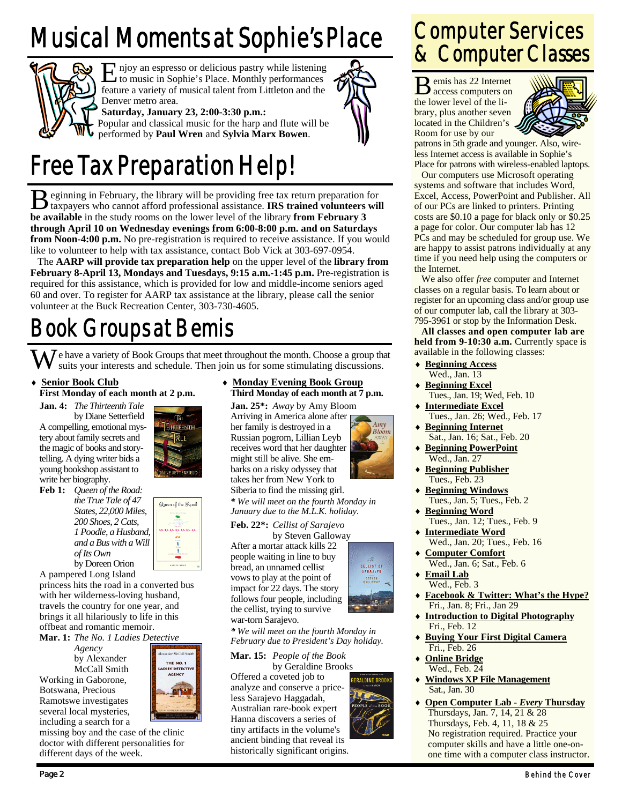# Musical Moments at Sophie's Place



E njoy an espresso or delicious pastry while listening<br>to music in Sophie's Place. Monthly performances feature a variety of musical talent from Littleton and the Denver metro area.

**Saturday, January 23, 2:00-3:30 p.m.:** 

Popular and classical music for the harp and flute will be performed by **Paul Wren** and **Sylvia Marx Bowen**.

## Free Tax Preparation Help!

B eginning in February, the library will be providing free tax return preparation for taxpayers who cannot afford professional assistance. **IRS trained volunteers will be available** in the study rooms on the lower level of the library **from February 3 through April 10 on Wednesday evenings from 6:00-8:00 p.m. and on Saturdays from Noon-4:00 p.m.** No pre-registration is required to receive assistance. If you would like to volunteer to help with tax assistance, contact Bob Vick at 303-697-0954.

 The **AARP will provide tax preparation help** on the upper level of the **library from February 8-April 13, Mondays and Tuesdays, 9:15 a.m.-1:45 p.m.** Pre-registration is required for this assistance, which is provided for low and middle-income seniors aged 60 and over. To register for AARP tax assistance at the library, please call the senior volunteer at the Buck Recreation Center, 303-730-4605.

## Book Groups at Bemis

 $\overline{J}$  e have a variety of Book Groups that meet throughout the month. Choose a group that suits your interests and schedule. Then join us for some stimulating discussions.

♦ **Senior Book Club**

**First Monday of each month at 2 p.m.** 

**Jan. 4:** *The Thirteenth Tale*  by Diane Setterfield A compelling, emotional mystery about family secrets and the magic of books and storytelling. A dying writer bids a young bookshop assistant to write her biography.

**Feb 1:** *Queen of the Road: the True Tale of 47 States, 22,000 Miles, 200 Shoes, 2 Cats, 1 Poodle, a Husband, and a Bus with a Will of Its Own*  by Doreen Orion



HIRTEENTH

A pampered Long Island

princess hits the road in a converted bus with her wilderness-loving husband, travels the country for one year, and brings it all hilariously to life in this offbeat and romantic memoir.

**Mar. 1:** *The No. 1 Ladies Detective* 

 *Agency*  by Alexander McCall Smith Working in Gaborone, Botswana, Precious Ramotswe investigates several local mysteries, including a search for a



missing boy and the case of the clinic doctor with different personalities for different days of the week.

♦ **Monday Evening Book Group Third Monday of each month at 7 p.m.** 

**Jan. 25\*:** *Away* by Amy Bloom Arriving in America alone after her family is destroyed in a Russian pogrom, Lillian Leyb receives word that her daughter might still be alive. She em-

*January due to the M.L.K. holiday.*  **Feb. 22\*:** *Cellist of Sarajevo* 

by Steven Galloway

After a mortar attack kills 22 people waiting in line to buy bread, an unnamed cellist vows to play at the point of impact for 22 days. The story follows four people, including the cellist, trying to survive war-torn Sarajevo.

*\* We will meet on the fourth Monday in February due to President's Day holiday.* 

**Mar. 15:** *People of the Book* by Geraldine Brooks

Offered a coveted job to analyze and conserve a priceless Sarajevo Haggadah, Australian rare-book expert Hanna discovers a series of tiny artifacts in the volume's ancient binding that reveal its historically significant origins.



B emis has 22 Internet access computers on the lower level of the library, plus another seven located in the Children's Room for use by our



patrons in 5th grade and younger. Also, wireless Internet access is available in Sophie's Place for patrons with wireless-enabled laptops.

 Our computers use Microsoft operating systems and software that includes Word, Excel, Access, PowerPoint and Publisher. All of our PCs are linked to printers. Printing costs are \$0.10 a page for black only or \$0.25 a page for color. Our computer lab has 12 PCs and may be scheduled for group use. We are happy to assist patrons individually at any time if you need help using the computers or the Internet.

 We also offer *free* computer and Internet classes on a regular basis. To learn about or register for an upcoming class and/or group use of our computer lab, call the library at 303- 795-3961 or stop by the Information Desk.

**All classes and open computer lab are**  held from 9-10:30 a.m. Currently space is available in the following classes:

- **Beginning Access** Wed., Jan. 13
- **Beginning Excel** Tues., Jan. 19; Wed, Feb. 10
- **Intermediate Excel** Tues., Jan. 26; Wed., Feb. 17
- **Beginning Internet**  Sat., Jan. 16; Sat., Feb. 20 **Beginning PowerPoint**
- Wed., Jan. 27 **Beginning Publisher**
- Tues., Feb. 23
- **Beginning Windows** Tues., Jan. 5; Tues., Feb. 2
- ♦ **Beginning Word** Tues., Jan. 12; Tues., Feb. 9 ♦ **Intermediate Word**
- Wed., Jan. 20; Tues., Feb. 16 **Computer Comfort**
- Wed., Jan. 6; Sat., Feb. 6 ♦ **Email Lab**
- Wed., Feb. 3
- ♦ **Facebook & Twitter: What's the Hype?** Fri., Jan. 8; Fri., Jan 29
- ♦ **Introduction to Digital Photography** Fri., Feb. 12
- ♦ **Buying Your First Digital Camera** Fri., Feb. 26
- **Online Bridge** Wed., Feb. 24
- ♦ **Windows XP File Management** Sat., Jan. 30
- ♦ **Open Computer Lab** *Every* **Thursday** Thursdays, Jan. 7, 14, 21 & 28 Thursdays, Feb. 4, 11, 18 & 25 No registration required. Practice your computer skills and have a little one-onone time with a computer class instructor.
- ALE
- 

 $4mv$ Bloom

CELLIST OF<br>SARAJEVO STEVEN<br>SALLOWAY

**ERALDINE BROOK** 

barks on a risky odyssey that takes her from New York to Siberia to find the missing girl. *\* We will meet on the fourth Monday in*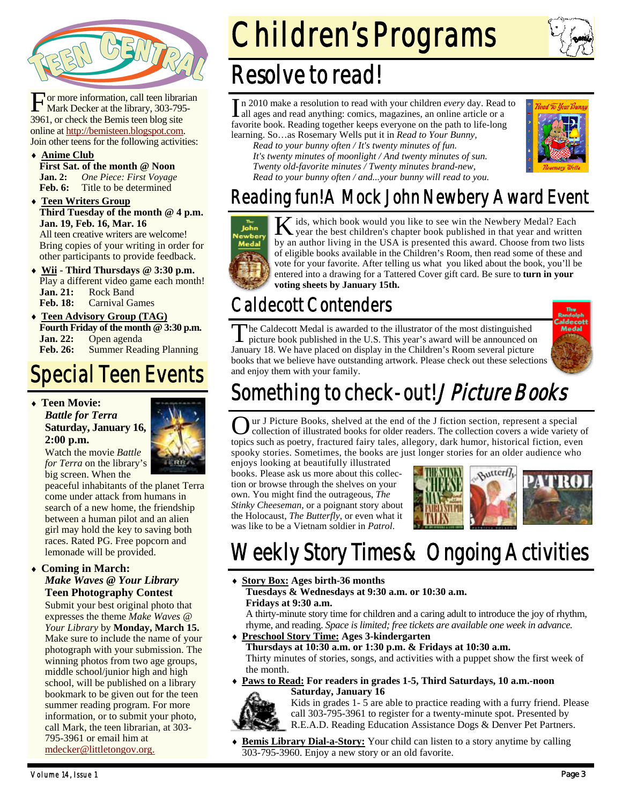

or more information, call teen librarian Mark Decker at the library, 303-795- 3961, or check the Bemis teen blog site online at http://bemisteen.blogspot.com. Join other teens for the following activities:

- ♦ **Anime Club First Sat. of the month @ Noon Jan. 2:** *One Piece: First Voyage* **Feb. 6:** Title to be determined
- ♦ **Teen Writers Group Third Tuesday of the month @ 4 p.m. Jan. 19, Feb. 16, Mar. 16**  All teen creative writers are welcome! Bring copies of your writing in order for other participants to provide feedback.
- ♦ **Wii Third Thursdays @ 3:30 p.m.**  Play a different video game each month! **Jan. 21:** Rock Band **Feb. 18:** Carnival Games
- **Teen Advisory Group (TAG) Fourth Friday of the month @ 3:30 p.m. Jan. 22:** Open agenda **Feb. 26:** Summer Reading Planning

#### Special Teen Events

♦ **Teen Movie:**  *Battle for Terra* **Saturday, January 16, 2:00 p.m.** 



Watch the movie *Battle for Terra* on the library's big screen. When the

peaceful inhabitants of the planet Terra come under attack from humans in search of a new home, the friendship between a human pilot and an alien girl may hold the key to saving both races. Rated PG. Free popcorn and lemonade will be provided.

#### **Coming in March:**

#### *Make Waves @ Your Library*  **Teen Photography Contest**

Submit your best original photo that expresses the theme *Make Waves @ Your Library* by **Monday, March 15.**  Make sure to include the name of your photograph with your submission. The winning photos from two age groups, middle school/junior high and high school, will be published on a library bookmark to be given out for the teen summer reading program. For more information, or to submit your photo, call Mark, the teen librarian, at 303- 795-3961 or email him at mdecker@littletongov.org.

# Children's Programs



#### Resolve to read!

I n 2010 make a resolution to read with your children *every* day. Read to all ages and read anything: comics, magazines, an online article or a favorite book. Reading together keeps everyone on the path to life-long learning. So…as Rosemary Wells put it in *Read to Your Bunny,* 

*Read to your bunny often / It's twenty minutes of fun. It's twenty minutes of moonlight / And twenty minutes of sun. Twenty old-favorite minutes / Twenty minutes brand-new, Read to your bunny often / and...your bunny will read to you.*



#### Reading fun! A Mock John Newbery Award Event



K ids, which book would you like to see win the Newbery Medal? Each year the best children's chapter book published in that year and written by an author living in the USA is presented this award. Choose from two lists of eligible books available in the Children's Room, then read some of these and vote for your favorite. After telling us what you liked about the book, you'll be entered into a drawing for a Tattered Cover gift card. Be sure to **turn in your voting sheets by January 15th.**

#### Caldecott Contenders

The Caldecott Medal is awarded to the illustrator of the most distinguished picture book published in the U.S. This year's award will be announced on January 18. We have placed on display in the Children's Room several picture books that we believe have outstanding artwork. Please check out these selections and enjoy them with your family.



## Something to check-out! *J Picture Books*

ur J Picture Books, shelved at the end of the J fiction section, represent a special collection of illustrated books for older readers. The collection covers a wide variety of topics such as poetry, fractured fairy tales, allegory, dark humor, historical fiction, even spooky stories. Sometimes, the books are just longer stories for an older audience who

enjoys looking at beautifully illustrated books. Please ask us more about this collection or browse through the shelves on your own. You might find the outrageous, *The Stinky Cheeseman*, or a poignant story about the Holocaust, *The Butterfly*, or even what it was like to be a Vietnam soldier in *Patrol*.



## Weekly Story Times & Ongoing Activities

♦ **Story Box: Ages birth-36 months** 

 **Tuesdays & Wednesdays at 9:30 a.m. or 10:30 a.m. Fridays at 9:30 a.m.** 

A thirty-minute story time for children and a caring adult to introduce the joy of rhythm, rhyme, and reading. *Space is limited; free tickets are available one week in advance.* 

♦ **Preschool Story Time: Ages 3-kindergarten** 

 **Thursdays at 10:30 a.m. or 1:30 p.m. & Fridays at 10:30 a.m.**  Thirty minutes of stories, songs, and activities with a puppet show the first week of the month.

Paws to Read: For readers in grades 1-5, Third Saturdays, 10 a.m.-noon **Saturday, January 16** 



Kids in grades 1- 5 are able to practice reading with a furry friend. Please call 303-795-3961 to register for a twenty-minute spot. Presented by R.E.A.D. Reading Education Assistance Dogs & Denver Pet Partners.

**Bemis Library Dial-a-Story:** Your child can listen to a story anytime by calling 303-795-3960. Enjoy a new story or an old favorite.